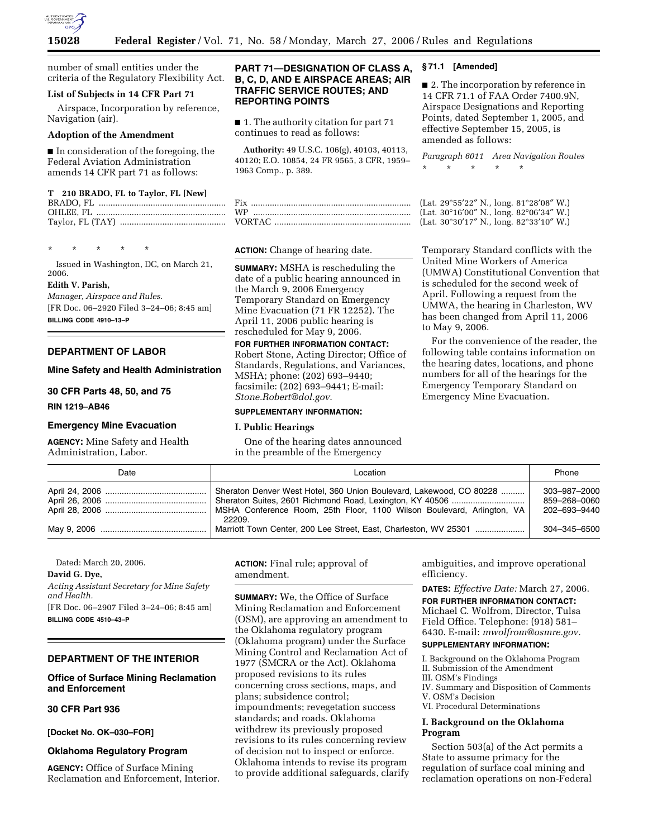

number of small entities under the criteria of the Regulatory Flexibility Act.

## **List of Subjects in 14 CFR Part 71**

Airspace, Incorporation by reference, Navigation (air).

#### **Adoption of the Amendment**

■ In consideration of the foregoing, the Federal Aviation Administration amends 14 CFR part 71 as follows:

#### **T 210 BRADO, FL to Taylor, FL [New]**

\* \* \* \* \*

Issued in Washington, DC, on March 21, 2006.

#### **Edith V. Parish,**

*Manager, Airspace and Rules.*  [FR Doc. 06–2920 Filed 3–24–06; 8:45 am] **BILLING CODE 4910–13–P** 

#### **DEPARTMENT OF LABOR**

#### **Mine Safety and Health Administration**

**30 CFR Parts 48, 50, and 75** 

**RIN 1219–AB46** 

#### **Emergency Mine Evacuation**

**AGENCY:** Mine Safety and Health Administration, Labor.

# **PART 71—DESIGNATION OF CLASS A, B, C, D, AND E AIRSPACE AREAS; AIR TRAFFIC SERVICE ROUTES; AND REPORTING POINTS**

■ 1. The authority citation for part 71 continues to read as follows:

**Authority:** 49 U.S.C. 106(g), 40103, 40113, 40120; E.O. 10854, 24 FR 9565, 3 CFR, 1959– 1963 Comp., p. 389.

### **ACTION:** Change of hearing date.

**SUMMARY:** MSHA is rescheduling the date of a public hearing announced in the March 9, 2006 Emergency Temporary Standard on Emergency Mine Evacuation (71 FR 12252). The April 11, 2006 public hearing is rescheduled for May 9, 2006.

**FOR FURTHER INFORMATION CONTACT:**  Robert Stone, Acting Director; Office of Standards, Regulations, and Variances, MSHA; phone: (202) 693–9440; facsimile: (202) 693–9441; E-mail: *Stone.Robert@dol.gov*.

# **SUPPLEMENTARY INFORMATION:**

#### **I. Public Hearings**

One of the hearing dates announced in the preamble of the Emergency

### **§ 71.1 [Amended]**

■ 2. The incorporation by reference in 14 CFR 71.1 of FAA Order 7400.9N, Airspace Designations and Reporting Points, dated September 1, 2005, and effective September 15, 2005, is amended as follows:

*Paragraph 6011 Area Navigation Routes*  \* \* \* \* \*

(Lat. 29°55'22" N., long. 81°28'08" W.) (Lat.  $30^{\circ}16'00''$  N., long.  $82^{\circ}06'34''$  W.) (Lat. 30°30'17" N., long. 82°33'10" W.)

Temporary Standard conflicts with the United Mine Workers of America (UMWA) Constitutional Convention that is scheduled for the second week of April. Following a request from the UMWA, the hearing in Charleston, WV has been changed from April 11, 2006 to May 9, 2006.

For the convenience of the reader, the following table contains information on the hearing dates, locations, and phone numbers for all of the hearings for the Emergency Temporary Standard on Emergency Mine Evacuation.

| Date | Location                                                                                                                                      | Phone                                        |
|------|-----------------------------------------------------------------------------------------------------------------------------------------------|----------------------------------------------|
|      | Sheraton Denver West Hotel, 360 Union Boulevard, Lakewood, CO 80228<br>MSHA Conference Room, 25th Floor, 1100 Wilson Boulevard, Arlington, VA | 303-987-2000<br>859-268-0060<br>202–693–9440 |
|      | 22209.<br>Marriott Town Center, 200 Lee Street, East, Charleston, WV 25301                                                                    | 304-345-6500                                 |

Dated: March 20, 2006.

#### **David G. Dye,**

*Acting Assistant Secretary for Mine Safety and Health.*  [FR Doc. 06–2907 Filed 3–24–06; 8:45 am]

**BILLING CODE 4510–43–P** 

# **DEPARTMENT OF THE INTERIOR**

**Office of Surface Mining Reclamation and Enforcement** 

### **30 CFR Part 936**

**[Docket No. OK–030–FOR]** 

#### **Oklahoma Regulatory Program**

**AGENCY:** Office of Surface Mining Reclamation and Enforcement, Interior. **ACTION:** Final rule; approval of amendment.

**SUMMARY:** We, the Office of Surface Mining Reclamation and Enforcement (OSM), are approving an amendment to the Oklahoma regulatory program (Oklahoma program) under the Surface Mining Control and Reclamation Act of 1977 (SMCRA or the Act). Oklahoma proposed revisions to its rules concerning cross sections, maps, and plans; subsidence control; impoundments; revegetation success standards; and roads. Oklahoma withdrew its previously proposed revisions to its rules concerning review of decision not to inspect or enforce. Oklahoma intends to revise its program to provide additional safeguards, clarify ambiguities, and improve operational efficiency.

**DATES:** *Effective Date:* March 27, 2006. **FOR FURTHER INFORMATION CONTACT:**  Michael C. Wolfrom, Director, Tulsa Field Office. Telephone: (918) 581– 6430. E-mail: *mwolfrom@osmre.gov.* 

# **SUPPLEMENTARY INFORMATION:**

- I. Background on the Oklahoma Program II. Submission of the Amendment
- 
- III. OSM's Findings
- IV. Summary and Disposition of Comments V. OSM's Decision
- VI. Procedural Determinations

# **I. Background on the Oklahoma Program**

Section 503(a) of the Act permits a State to assume primacy for the regulation of surface coal mining and reclamation operations on non-Federal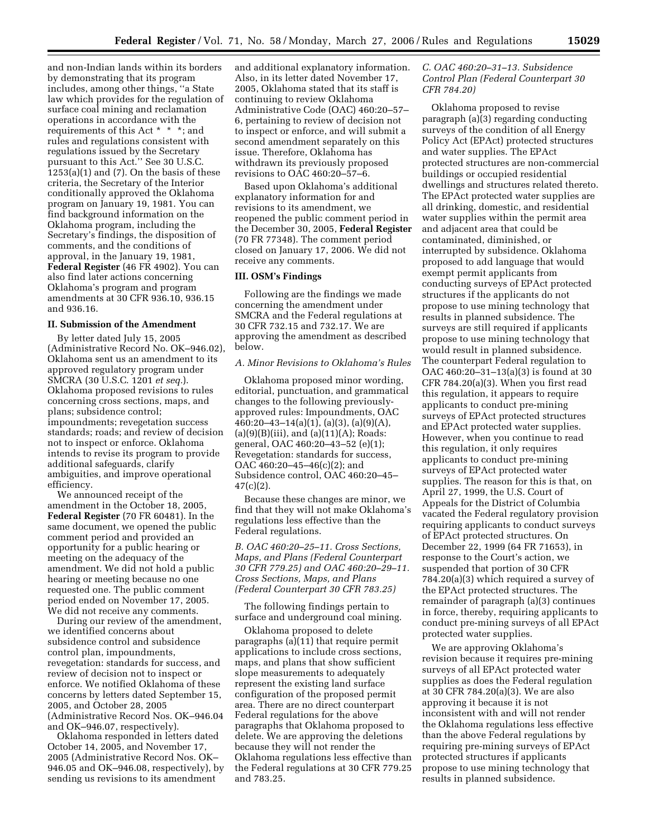and non-Indian lands within its borders by demonstrating that its program includes, among other things, ''a State law which provides for the regulation of surface coal mining and reclamation operations in accordance with the requirements of this Act \* \* \*; and rules and regulations consistent with regulations issued by the Secretary pursuant to this Act.'' See 30 U.S.C.  $1253(a)(1)$  and  $(7)$ . On the basis of these criteria, the Secretary of the Interior conditionally approved the Oklahoma program on January 19, 1981. You can find background information on the Oklahoma program, including the Secretary's findings, the disposition of comments, and the conditions of approval, in the January 19, 1981, **Federal Register** (46 FR 4902). You can also find later actions concerning Oklahoma's program and program amendments at 30 CFR 936.10, 936.15 and 936.16.

# **II. Submission of the Amendment**

By letter dated July 15, 2005 (Administrative Record No. OK–946.02), Oklahoma sent us an amendment to its approved regulatory program under SMCRA (30 U.S.C. 1201 *et seq.*). Oklahoma proposed revisions to rules concerning cross sections, maps, and plans; subsidence control; impoundments; revegetation success standards; roads; and review of decision not to inspect or enforce. Oklahoma intends to revise its program to provide additional safeguards, clarify ambiguities, and improve operational efficiency.

We announced receipt of the amendment in the October 18, 2005, **Federal Register** (70 FR 60481). In the same document, we opened the public comment period and provided an opportunity for a public hearing or meeting on the adequacy of the amendment. We did not hold a public hearing or meeting because no one requested one. The public comment period ended on November 17, 2005. We did not receive any comments.

During our review of the amendment, we identified concerns about subsidence control and subsidence control plan, impoundments, revegetation: standards for success, and review of decision not to inspect or enforce. We notified Oklahoma of these concerns by letters dated September 15, 2005, and October 28, 2005 (Administrative Record Nos. OK–946.04 and OK–946.07, respectively).

Oklahoma responded in letters dated October 14, 2005, and November 17, 2005 (Administrative Record Nos. OK– 946.05 and OK–946.08, respectively), by sending us revisions to its amendment

and additional explanatory information. Also, in its letter dated November 17, 2005, Oklahoma stated that its staff is continuing to review Oklahoma Administrative Code (OAC) 460:20–57– 6, pertaining to review of decision not to inspect or enforce, and will submit a second amendment separately on this issue. Therefore, Oklahoma has withdrawn its previously proposed revisions to OAC 460:20–57–6.

Based upon Oklahoma's additional explanatory information for and revisions to its amendment, we reopened the public comment period in the December 30, 2005, **Federal Register**  (70 FR 77348). The comment period closed on January 17, 2006. We did not receive any comments.

### **III. OSM's Findings**

Following are the findings we made concerning the amendment under SMCRA and the Federal regulations at 30 CFR 732.15 and 732.17. We are approving the amendment as described below.

#### *A. Minor Revisions to Oklahoma's Rules*

Oklahoma proposed minor wording, editorial, punctuation, and grammatical changes to the following previouslyapproved rules: Impoundments, OAC 460:20–43–14(a)(1), (a)(3), (a)(9)(A),  $(a)(9)(B)(iii)$ , and  $(a)(11)(A)$ ; Roads: general, OAC 460:20–43–52 (e)(1); Revegetation: standards for success, OAC 460:20–45–46(c)(2); and Subsidence control, OAC 460:20–45– 47(c)(2).

Because these changes are minor, we find that they will not make Oklahoma's regulations less effective than the Federal regulations.

*B. OAC 460:20–25–11. Cross Sections, Maps, and Plans (Federal Counterpart 30 CFR 779.25) and OAC 460:20–29–11. Cross Sections, Maps, and Plans (Federal Counterpart 30 CFR 783.25)* 

The following findings pertain to surface and underground coal mining.

Oklahoma proposed to delete paragraphs (a)(11) that require permit applications to include cross sections, maps, and plans that show sufficient slope measurements to adequately represent the existing land surface configuration of the proposed permit area. There are no direct counterpart Federal regulations for the above paragraphs that Oklahoma proposed to delete. We are approving the deletions because they will not render the Oklahoma regulations less effective than the Federal regulations at 30 CFR 779.25 and 783.25.

# *C. OAC 460:20–31–13. Subsidence Control Plan (Federal Counterpart 30 CFR 784.20)*

Oklahoma proposed to revise paragraph (a)(3) regarding conducting surveys of the condition of all Energy Policy Act (EPAct) protected structures and water supplies. The EPAct protected structures are non-commercial buildings or occupied residential dwellings and structures related thereto. The EPAct protected water supplies are all drinking, domestic, and residential water supplies within the permit area and adjacent area that could be contaminated, diminished, or interrupted by subsidence. Oklahoma proposed to add language that would exempt permit applicants from conducting surveys of EPAct protected structures if the applicants do not propose to use mining technology that results in planned subsidence. The surveys are still required if applicants propose to use mining technology that would result in planned subsidence. The counterpart Federal regulation to OAC 460:20–31–13(a)(3) is found at 30 CFR 784.20(a)(3). When you first read this regulation, it appears to require applicants to conduct pre-mining surveys of EPAct protected structures and EPAct protected water supplies. However, when you continue to read this regulation, it only requires applicants to conduct pre-mining surveys of EPAct protected water supplies. The reason for this is that, on April 27, 1999, the U.S. Court of Appeals for the District of Columbia vacated the Federal regulatory provision requiring applicants to conduct surveys of EPAct protected structures. On December 22, 1999 (64 FR 71653), in response to the Court's action, we suspended that portion of 30 CFR 784.20(a)(3) which required a survey of the EPAct protected structures. The remainder of paragraph (a)(3) continues in force, thereby, requiring applicants to conduct pre-mining surveys of all EPAct protected water supplies.

We are approving Oklahoma's revision because it requires pre-mining surveys of all EPAct protected water supplies as does the Federal regulation at 30 CFR 784.20(a)(3). We are also approving it because it is not inconsistent with and will not render the Oklahoma regulations less effective than the above Federal regulations by requiring pre-mining surveys of EPAct protected structures if applicants propose to use mining technology that results in planned subsidence.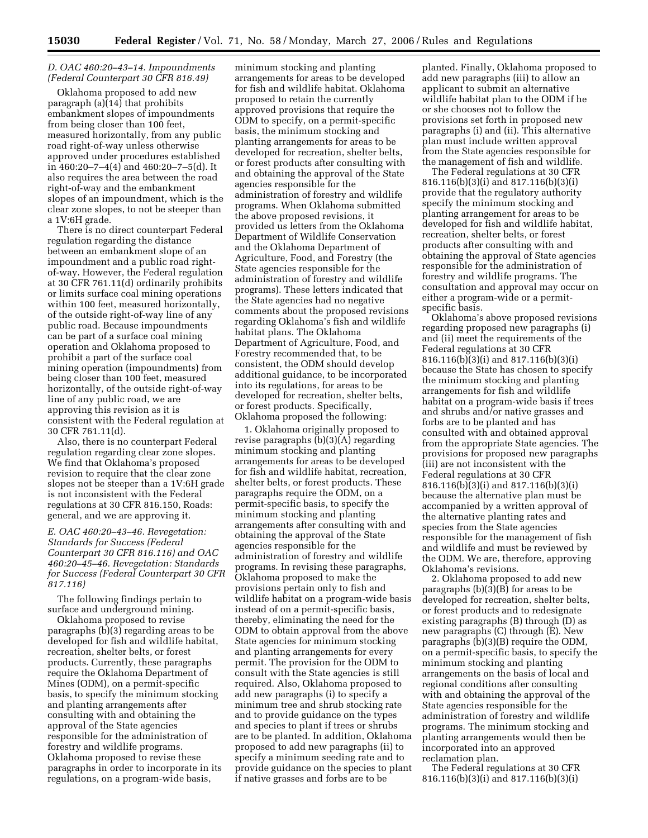# *D. OAC 460:20–43–14. Impoundments (Federal Counterpart 30 CFR 816.49)*

Oklahoma proposed to add new paragraph (a)(14) that prohibits embankment slopes of impoundments from being closer than 100 feet, measured horizontally, from any public road right-of-way unless otherwise approved under procedures established in 460:20–7–4(4) and 460:20–7–5(d). It also requires the area between the road right-of-way and the embankment slopes of an impoundment, which is the clear zone slopes, to not be steeper than a 1V:6H grade.

There is no direct counterpart Federal regulation regarding the distance between an embankment slope of an impoundment and a public road rightof-way. However, the Federal regulation at 30 CFR 761.11(d) ordinarily prohibits or limits surface coal mining operations within 100 feet, measured horizontally, of the outside right-of-way line of any public road. Because impoundments can be part of a surface coal mining operation and Oklahoma proposed to prohibit a part of the surface coal mining operation (impoundments) from being closer than 100 feet, measured horizontally, of the outside right-of-way line of any public road, we are approving this revision as it is consistent with the Federal regulation at 30 CFR 761.11(d).

Also, there is no counterpart Federal regulation regarding clear zone slopes. We find that Oklahoma's proposed revision to require that the clear zone slopes not be steeper than a 1V:6H grade is not inconsistent with the Federal regulations at 30 CFR 816.150, Roads: general, and we are approving it.

*E. OAC 460:20–43–46. Revegetation: Standards for Success (Federal Counterpart 30 CFR 816.116) and OAC 460:20–45–46. Revegetation: Standards for Success (Federal Counterpart 30 CFR 817.116)* 

The following findings pertain to surface and underground mining.

Oklahoma proposed to revise paragraphs (b)(3) regarding areas to be developed for fish and wildlife habitat, recreation, shelter belts, or forest products. Currently, these paragraphs require the Oklahoma Department of Mines (ODM), on a permit-specific basis, to specify the minimum stocking and planting arrangements after consulting with and obtaining the approval of the State agencies responsible for the administration of forestry and wildlife programs. Oklahoma proposed to revise these paragraphs in order to incorporate in its regulations, on a program-wide basis,

minimum stocking and planting arrangements for areas to be developed for fish and wildlife habitat. Oklahoma proposed to retain the currently approved provisions that require the ODM to specify, on a permit-specific basis, the minimum stocking and planting arrangements for areas to be developed for recreation, shelter belts, or forest products after consulting with and obtaining the approval of the State agencies responsible for the administration of forestry and wildlife programs. When Oklahoma submitted the above proposed revisions, it provided us letters from the Oklahoma Department of Wildlife Conservation and the Oklahoma Department of Agriculture, Food, and Forestry (the State agencies responsible for the administration of forestry and wildlife programs). These letters indicated that the State agencies had no negative comments about the proposed revisions regarding Oklahoma's fish and wildlife habitat plans. The Oklahoma Department of Agriculture, Food, and Forestry recommended that, to be consistent, the ODM should develop additional guidance, to be incorporated into its regulations, for areas to be developed for recreation, shelter belts, or forest products. Specifically, Oklahoma proposed the following:

1. Oklahoma originally proposed to revise paragraphs (b)(3)(A) regarding minimum stocking and planting arrangements for areas to be developed for fish and wildlife habitat, recreation, shelter belts, or forest products. These paragraphs require the ODM, on a permit-specific basis, to specify the minimum stocking and planting arrangements after consulting with and obtaining the approval of the State agencies responsible for the administration of forestry and wildlife programs. In revising these paragraphs, Oklahoma proposed to make the provisions pertain only to fish and wildlife habitat on a program-wide basis instead of on a permit-specific basis, thereby, eliminating the need for the ODM to obtain approval from the above State agencies for minimum stocking and planting arrangements for every permit. The provision for the ODM to consult with the State agencies is still required. Also, Oklahoma proposed to add new paragraphs (i) to specify a minimum tree and shrub stocking rate and to provide guidance on the types and species to plant if trees or shrubs are to be planted. In addition, Oklahoma proposed to add new paragraphs (ii) to specify a minimum seeding rate and to provide guidance on the species to plant if native grasses and forbs are to be

planted. Finally, Oklahoma proposed to add new paragraphs (iii) to allow an applicant to submit an alternative wildlife habitat plan to the ODM if he or she chooses not to follow the provisions set forth in proposed new paragraphs (i) and (ii). This alternative plan must include written approval from the State agencies responsible for the management of fish and wildlife.

The Federal regulations at 30 CFR 816.116(b)(3)(i) and 817.116(b)(3)(i) provide that the regulatory authority specify the minimum stocking and planting arrangement for areas to be developed for fish and wildlife habitat, recreation, shelter belts, or forest products after consulting with and obtaining the approval of State agencies responsible for the administration of forestry and wildlife programs. The consultation and approval may occur on either a program-wide or a permitspecific basis.

Oklahoma's above proposed revisions regarding proposed new paragraphs (i) and (ii) meet the requirements of the Federal regulations at 30 CFR 816.116(b)(3)(i) and 817.116(b)(3)(i) because the State has chosen to specify the minimum stocking and planting arrangements for fish and wildlife habitat on a program-wide basis if trees and shrubs and/or native grasses and forbs are to be planted and has consulted with and obtained approval from the appropriate State agencies. The provisions for proposed new paragraphs (iii) are not inconsistent with the Federal regulations at 30 CFR 816.116(b)(3)(i) and 817.116(b)(3)(i) because the alternative plan must be accompanied by a written approval of the alternative planting rates and species from the State agencies responsible for the management of fish and wildlife and must be reviewed by the ODM. We are, therefore, approving Oklahoma's revisions.

2. Oklahoma proposed to add new paragraphs (b)(3)(B) for areas to be developed for recreation, shelter belts, or forest products and to redesignate existing paragraphs (B) through (D) as new paragraphs (C) through (E). New paragraphs (b)(3)(B) require the ODM, on a permit-specific basis, to specify the minimum stocking and planting arrangements on the basis of local and regional conditions after consulting with and obtaining the approval of the State agencies responsible for the administration of forestry and wildlife programs. The minimum stocking and planting arrangements would then be incorporated into an approved reclamation plan.

The Federal regulations at 30 CFR 816.116(b)(3)(i) and 817.116(b)(3)(i)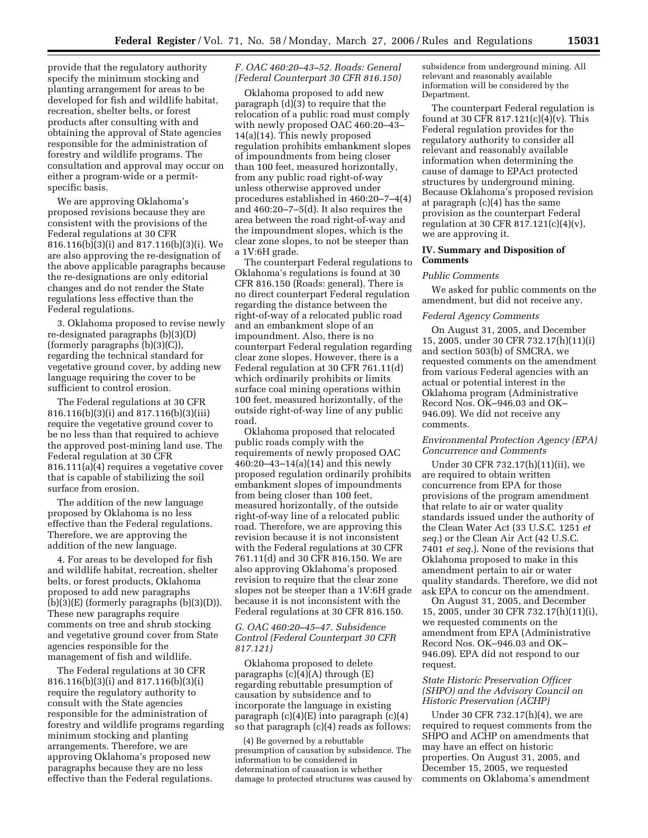provide that the regulatory authority specify the minimum stocking and planting arrangement for areas to be developed for fish and wildlife habitat, recreation, shelter belts, or forest products after consulting with and obtaining the approval of State agencies responsible for the administration of forestry and wildlife programs. The consultation and approval may occur on either a program-wide or a permitspecific basis.

We are approving Oklahoma's proposed revisions because they are consistent with the provisions of the Federal regulations at 30 CFR 816.116(b)(3)(i) and 817.116(b)(3)(i). We are also approving the re-designation of the above applicable paragraphs because the re-designations are only editorial changes and do not render the State regulations less effective than the Federal regulations.

3. Oklahoma proposed to revise newly re-designated paragraphs (b)(3)(D) (formerly paragraphs (b)(3)(C)), regarding the technical standard for vegetative ground cover, by adding new language requiring the cover to be sufficient to control erosion.

The Federal regulations at 30 CFR 816.116(b)(3)(i) and 817.116(b)(3)(iii) require the vegetative ground cover to be no less than that required to achieve the approved post-mining land use. The Federal regulation at 30 CFR 816.111(a)(4) requires a vegetative cover that is capable of stabilizing the soil surface from erosion.

The addition of the new language proposed by Oklahoma is no less effective than the Federal regulations. Therefore, we are approving the addition of the new language.

4. For areas to be developed for fish and wildlife habitat, recreation, shelter belts, or forest products, Oklahoma proposed to add new paragraphs  $(b)(3)(E)$  (formerly paragraphs  $(b)(3)(D)$ ). These new paragraphs require comments on tree and shrub stocking and vegetative ground cover from State agencies responsible for the management of fish and wildlife.

The Federal regulations at 30 CFR 816.116(b)(3)(i) and 817.116(b)(3)(i) require the regulatory authority to consult with the State agencies responsible for the administration of forestry and wildlife programs regarding minimum stocking and planting arrangements. Therefore, we are approving Oklahoma's proposed new paragraphs because they are no less effective than the Federal regulations.

# *F. OAC 460:20–43–52. Roads: General (Federal Counterpart 30 CFR 816.150)*

Oklahoma proposed to add new paragraph  $(d)(3)$  to require that the relocation of a public road must comply with newly proposed OAC 460:20–43– 14(a)(14). This newly proposed regulation prohibits embankment slopes of impoundments from being closer than 100 feet, measured horizontally, from any public road right-of-way unless otherwise approved under procedures established in 460:20–7–4(4) and 460:20–7–5(d). It also requires the area between the road right-of-way and the impoundment slopes, which is the clear zone slopes, to not be steeper than a 1V:6H grade.

The counterpart Federal regulations to Oklahoma's regulations is found at 30 CFR 816.150 (Roads: general). There is no direct counterpart Federal regulation regarding the distance between the right-of-way of a relocated public road and an embankment slope of an impoundment. Also, there is no counterpart Federal regulation regarding clear zone slopes. However, there is a Federal regulation at 30 CFR 761.11(d) which ordinarily prohibits or limits surface coal mining operations within 100 feet, measured horizontally, of the outside right-of-way line of any public road.

Oklahoma proposed that relocated public roads comply with the requirements of newly proposed OAC 460:20–43–14(a)(14) and this newly proposed regulation ordinarily prohibits embankment slopes of impoundments from being closer than 100 feet, measured horizontally, of the outside right-of-way line of a relocated public road. Therefore, we are approving this revision because it is not inconsistent with the Federal regulations at 30 CFR 761.11(d) and 30 CFR 816.150. We are also approving Oklahoma's proposed revision to require that the clear zone slopes not be steeper than a 1V:6H grade because it is not inconsistent with the Federal regulations at 30 CFR 816.150.

# *G. OAC 460:20–45–47. Subsidence Control (Federal Counterpart 30 CFR 817.121)*

Oklahoma proposed to delete paragraphs (c)(4)(A) through (E) regarding rebuttable presumption of causation by subsidence and to incorporate the language in existing paragraph (c)(4)(E) into paragraph (c)(4) so that paragraph (c)(4) reads as follows:

(4) Be governed by a rebuttable presumption of causation by subsidence. The information to be considered in determination of causation is whether damage to protected structures was caused by

subsidence from underground mining. All relevant and reasonably available information will be considered by the Department.

The counterpart Federal regulation is found at 30 CFR 817.121(c)(4)(v). This Federal regulation provides for the regulatory authority to consider all relevant and reasonably available information when determining the cause of damage to EPAct protected structures by underground mining. Because Oklahoma's proposed revision at paragraph (c)(4) has the same provision as the counterpart Federal regulation at 30 CFR 817.121(c)(4)(v), we are approving it.

# **IV. Summary and Disposition of Comments**

#### *Public Comments*

We asked for public comments on the amendment, but did not receive any.

### *Federal Agency Comments*

On August 31, 2005, and December 15, 2005, under 30 CFR 732.17(h)(11)(i) and section 503(b) of SMCRA, we requested comments on the amendment from various Federal agencies with an actual or potential interest in the Oklahoma program (Administrative Record Nos. OK–946.03 and OK– 946.09). We did not receive any comments.

## *Environmental Protection Agency (EPA) Concurrence and Comments*

Under 30 CFR 732.17(h)(11)(ii), we are required to obtain written concurrence from EPA for those provisions of the program amendment that relate to air or water quality standards issued under the authority of the Clean Water Act (33 U.S.C. 1251 *et seq.*) or the Clean Air Act (42 U.S.C. 7401 *et seq.*). None of the revisions that Oklahoma proposed to make in this amendment pertain to air or water quality standards. Therefore, we did not ask EPA to concur on the amendment.

On August 31, 2005, and December 15, 2005, under 30 CFR 732.17(h)(11)(i), we requested comments on the amendment from EPA (Administrative Record Nos. OK–946.03 and OK– 946.09). EPA did not respond to our request.

# *State Historic Preservation Officer (SHPO) and the Advisory Council on Historic Preservation (ACHP)*

Under 30 CFR 732.17(h)(4), we are required to request comments from the SHPO and ACHP on amendments that may have an effect on historic properties. On August 31, 2005, and December 15, 2005, we requested comments on Oklahoma's amendment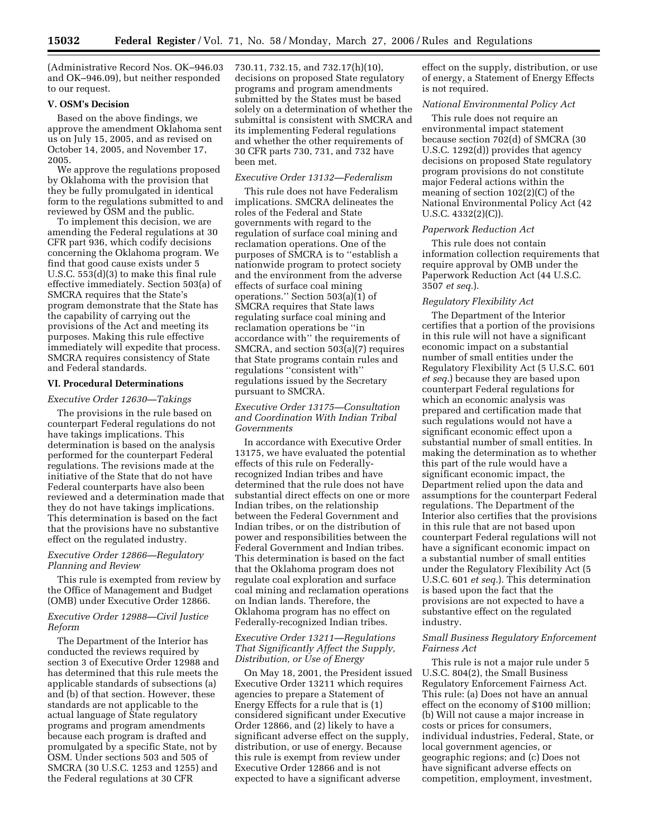(Administrative Record Nos. OK–946.03 and OK–946.09), but neither responded to our request.

# **V. OSM's Decision**

Based on the above findings, we approve the amendment Oklahoma sent us on July 15, 2005, and as revised on October 14, 2005, and November 17, 2005.

We approve the regulations proposed by Oklahoma with the provision that they be fully promulgated in identical form to the regulations submitted to and reviewed by OSM and the public.

To implement this decision, we are amending the Federal regulations at 30 CFR part 936, which codify decisions concerning the Oklahoma program. We find that good cause exists under 5 U.S.C. 553(d)(3) to make this final rule effective immediately. Section 503(a) of SMCRA requires that the State's program demonstrate that the State has the capability of carrying out the provisions of the Act and meeting its purposes. Making this rule effective immediately will expedite that process. SMCRA requires consistency of State and Federal standards.

### **VI. Procedural Determinations**

*Executive Order 12630—Takings* 

The provisions in the rule based on counterpart Federal regulations do not have takings implications. This determination is based on the analysis performed for the counterpart Federal regulations. The revisions made at the initiative of the State that do not have Federal counterparts have also been reviewed and a determination made that they do not have takings implications. This determination is based on the fact that the provisions have no substantive effect on the regulated industry.

## *Executive Order 12866—Regulatory Planning and Review*

This rule is exempted from review by the Office of Management and Budget (OMB) under Executive Order 12866.

### *Executive Order 12988—Civil Justice Reform*

The Department of the Interior has conducted the reviews required by section 3 of Executive Order 12988 and has determined that this rule meets the applicable standards of subsections (a) and (b) of that section. However, these standards are not applicable to the actual language of State regulatory programs and program amendments because each program is drafted and promulgated by a specific State, not by OSM. Under sections 503 and 505 of SMCRA (30 U.S.C. 1253 and 1255) and the Federal regulations at 30 CFR

730.11, 732.15, and 732.17(h)(10), decisions on proposed State regulatory programs and program amendments submitted by the States must be based solely on a determination of whether the submittal is consistent with SMCRA and its implementing Federal regulations and whether the other requirements of 30 CFR parts 730, 731, and 732 have been met.

#### *Executive Order 13132—Federalism*

This rule does not have Federalism implications. SMCRA delineates the roles of the Federal and State governments with regard to the regulation of surface coal mining and reclamation operations. One of the purposes of SMCRA is to ''establish a nationwide program to protect society and the environment from the adverse effects of surface coal mining operations." Section  $503(a)(1)$  of SMCRA requires that State laws regulating surface coal mining and reclamation operations be ''in accordance with'' the requirements of SMCRA, and section 503(a)(7) requires that State programs contain rules and regulations ''consistent with'' regulations issued by the Secretary pursuant to SMCRA.

# *Executive Order 13175—Consultation and Coordination With Indian Tribal Governments*

In accordance with Executive Order 13175, we have evaluated the potential effects of this rule on Federallyrecognized Indian tribes and have determined that the rule does not have substantial direct effects on one or more Indian tribes, on the relationship between the Federal Government and Indian tribes, or on the distribution of power and responsibilities between the Federal Government and Indian tribes. This determination is based on the fact that the Oklahoma program does not regulate coal exploration and surface coal mining and reclamation operations on Indian lands. Therefore, the Oklahoma program has no effect on Federally-recognized Indian tribes.

## *Executive Order 13211—Regulations That Significantly Affect the Supply, Distribution, or Use of Energy*

On May 18, 2001, the President issued Executive Order 13211 which requires agencies to prepare a Statement of Energy Effects for a rule that is (1) considered significant under Executive Order 12866, and (2) likely to have a significant adverse effect on the supply, distribution, or use of energy. Because this rule is exempt from review under Executive Order 12866 and is not expected to have a significant adverse

effect on the supply, distribution, or use of energy, a Statement of Energy Effects is not required.

#### *National Environmental Policy Act*

This rule does not require an environmental impact statement because section 702(d) of SMCRA (30 U.S.C. 1292(d)) provides that agency decisions on proposed State regulatory program provisions do not constitute major Federal actions within the meaning of section 102(2)(C) of the National Environmental Policy Act (42 U.S.C. 4332(2)(C)).

#### *Paperwork Reduction Act*

This rule does not contain information collection requirements that require approval by OMB under the Paperwork Reduction Act (44 U.S.C. 3507 *et seq.*).

#### *Regulatory Flexibility Act*

The Department of the Interior certifies that a portion of the provisions in this rule will not have a significant economic impact on a substantial number of small entities under the Regulatory Flexibility Act (5 U.S.C. 601 *et seq.*) because they are based upon counterpart Federal regulations for which an economic analysis was prepared and certification made that such regulations would not have a significant economic effect upon a substantial number of small entities. In making the determination as to whether this part of the rule would have a significant economic impact, the Department relied upon the data and assumptions for the counterpart Federal regulations. The Department of the Interior also certifies that the provisions in this rule that are not based upon counterpart Federal regulations will not have a significant economic impact on a substantial number of small entities under the Regulatory Flexibility Act (5 U.S.C. 601 *et seq.*). This determination is based upon the fact that the provisions are not expected to have a substantive effect on the regulated industry.

### *Small Business Regulatory Enforcement Fairness Act*

This rule is not a major rule under 5 U.S.C. 804(2), the Small Business Regulatory Enforcement Fairness Act. This rule: (a) Does not have an annual effect on the economy of \$100 million; (b) Will not cause a major increase in costs or prices for consumers, individual industries, Federal, State, or local government agencies, or geographic regions; and (c) Does not have significant adverse effects on competition, employment, investment,